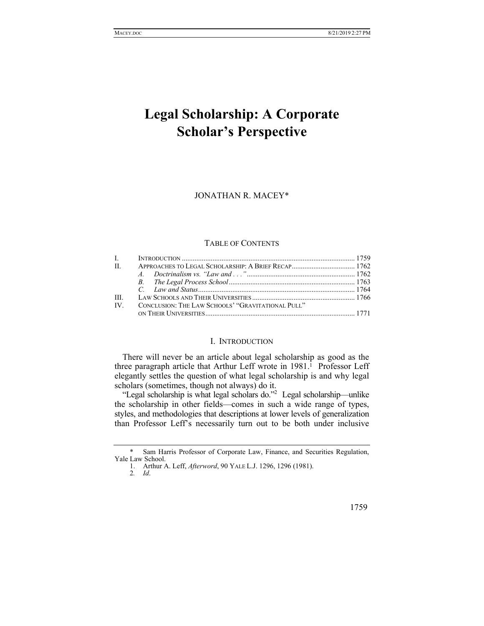# **Legal Scholarship: A Corporate Scholar's Perspective**

JONATHAN R. MACEY\*

#### TABLE OF CONTENTS

| H.    |                                                   |  |
|-------|---------------------------------------------------|--|
|       |                                                   |  |
|       |                                                   |  |
|       |                                                   |  |
| III - |                                                   |  |
| IV    | CONCLUSION: THE LAW SCHOOLS' "GRAVITATIONAL PULL" |  |
|       |                                                   |  |

#### I. INTRODUCTION

There will never be an article about legal scholarship as good as the three paragraph article that Arthur Leff wrote in  $1981$ .<sup>1</sup> Professor Leff elegantly settles the question of what legal scholarship is and why legal scholars (sometimes, though not always) do it.

"Legal scholarship is what legal scholars do."<sup>2</sup> Legal scholarship—unlike the scholarship in other fields—comes in such a wide range of types, styles, and methodologies that descriptions at lower levels of generalization than Professor Leff's necessarily turn out to be both under inclusive

<sup>\*</sup>Sam Harris Professor of Corporate Law, Finance, and Securities Regulation, Yale Law School.

 <sup>1.</sup> Arthur A. Leff, *Afterword*, 90 YALE L.J. 1296, 1296 (1981).

<sup>2</sup>*. Id*.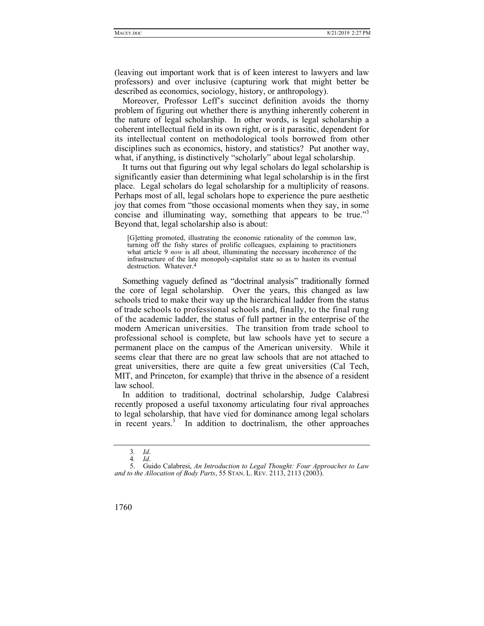(leaving out important work that is of keen interest to lawyers and law professors) and over inclusive (capturing work that might better be described as economics, sociology, history, or anthropology).

Moreover, Professor Leff's succinct definition avoids the thorny problem of figuring out whether there is anything inherently coherent in the nature of legal scholarship. In other words, is legal scholarship a coherent intellectual field in its own right, or is it parasitic, dependent for its intellectual content on methodological tools borrowed from other disciplines such as economics, history, and statistics? Put another way, what, if anything, is distinctively "scholarly" about legal scholarship.

It turns out that figuring out why legal scholars do legal scholarship is significantly easier than determining what legal scholarship is in the first place. Legal scholars do legal scholarship for a multiplicity of reasons. Perhaps most of all, legal scholars hope to experience the pure aesthetic joy that comes from "those occasional moments when they say, in some concise and illuminating way, something that appears to be true."<sup>3</sup> Beyond that, legal scholarship also is about:

[G]etting promoted, illustrating the economic rationality of the common law, turning off the fishy stares of prolific colleagues, explaining to practitioners what article 9 *now* is all about, illuminating the necessary incoherence of the infrastructure of the late monopoly-capitalist state so as to hasten its eventual destruction. Whatever.4

Something vaguely defined as "doctrinal analysis" traditionally formed the core of legal scholarship. Over the years, this changed as law schools tried to make their way up the hierarchical ladder from the status of trade schools to professional schools and, finally, to the final rung of the academic ladder, the status of full partner in the enterprise of the modern American universities. The transition from trade school to professional school is complete, but law schools have yet to secure a permanent place on the campus of the American university. While it seems clear that there are no great law schools that are not attached to great universities, there are quite a few great universities (Cal Tech, MIT, and Princeton, for example) that thrive in the absence of a resident law school.

In addition to traditional, doctrinal scholarship, Judge Calabresi recently proposed a useful taxonomy articulating four rival approaches to legal scholarship, that have vied for dominance among legal scholars in recent years.<sup>5</sup> In addition to doctrinalism, the other approaches

 <sup>5.</sup> Guido Calabresi, *An Introduction to Legal Thought: Four Approaches to Law and to the Allocation of Body Parts*, 55 STAN. L. REV. 2113, 2113 (2003).



<sup>3</sup>*. Id*.

<sup>4</sup>*. Id*.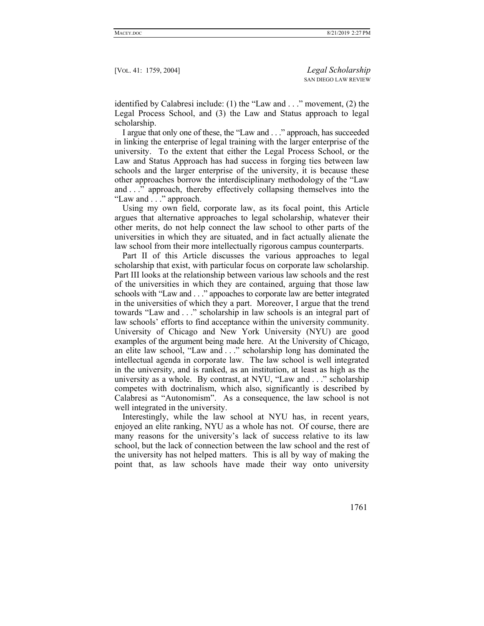identified by Calabresi include: (1) the "Law and . . ." movement, (2) the Legal Process School, and (3) the Law and Status approach to legal scholarship.

I argue that only one of these, the "Law and . . ." approach, has succeeded in linking the enterprise of legal training with the larger enterprise of the university. To the extent that either the Legal Process School, or the Law and Status Approach has had success in forging ties between law schools and the larger enterprise of the university, it is because these other approaches borrow the interdisciplinary methodology of the "Law and . . ." approach, thereby effectively collapsing themselves into the "Law and . . ." approach.

Using my own field, corporate law, as its focal point, this Article argues that alternative approaches to legal scholarship, whatever their other merits, do not help connect the law school to other parts of the universities in which they are situated, and in fact actually alienate the law school from their more intellectually rigorous campus counterparts.

Part II of this Article discusses the various approaches to legal scholarship that exist, with particular focus on corporate law scholarship. Part III looks at the relationship between various law schools and the rest of the universities in which they are contained, arguing that those law schools with "Law and . . ." appoaches to corporate law are better integrated in the universities of which they a part. Moreover, I argue that the trend towards "Law and . . ." scholarship in law schools is an integral part of law schools' efforts to find acceptance within the university community. University of Chicago and New York University (NYU) are good examples of the argument being made here. At the University of Chicago, an elite law school, "Law and . . ." scholarship long has dominated the intellectual agenda in corporate law. The law school is well integrated in the university, and is ranked, as an institution, at least as high as the university as a whole. By contrast, at NYU, "Law and . . ." scholarship competes with doctrinalism, which also, significantly is described by Calabresi as "Autonomism". As a consequence, the law school is not well integrated in the university.

Interestingly, while the law school at NYU has, in recent years, enjoyed an elite ranking, NYU as a whole has not. Of course, there are many reasons for the university's lack of success relative to its law school, but the lack of connection between the law school and the rest of the university has not helped matters. This is all by way of making the point that, as law schools have made their way onto university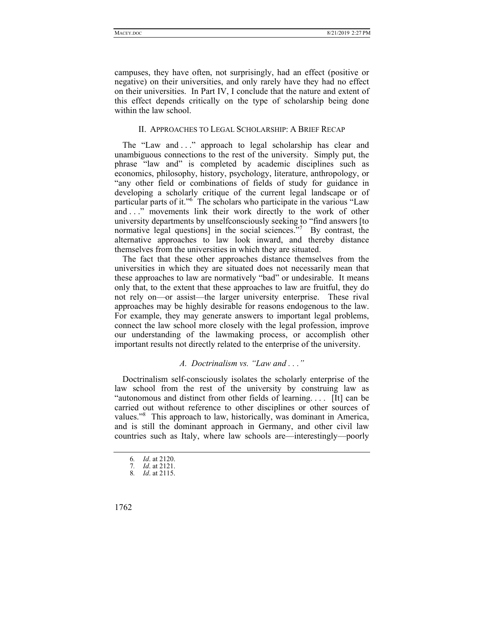campuses, they have often, not surprisingly, had an effect (positive or negative) on their universities, and only rarely have they had no effect on their universities. In Part IV, I conclude that the nature and extent of this effect depends critically on the type of scholarship being done within the law school.

## II. APPROACHES TO LEGAL SCHOLARSHIP: A BRIEF RECAP

The "Law and ..." approach to legal scholarship has clear and unambiguous connections to the rest of the university. Simply put, the phrase "law and" is completed by academic disciplines such as economics, philosophy, history, psychology, literature, anthropology, or "any other field or combinations of fields of study for guidance in developing a scholarly critique of the current legal landscape or of particular parts of it."<sup>6</sup> The scholars who participate in the various "Law and . . ." movements link their work directly to the work of other university departments by unselfconsciously seeking to "find answers [to normative legal questions] in the social sciences."<sup>7</sup> By contrast, the alternative approaches to law look inward, and thereby distance themselves from the universities in which they are situated.

The fact that these other approaches distance themselves from the universities in which they are situated does not necessarily mean that these approaches to law are normatively "bad" or undesirable. It means only that, to the extent that these approaches to law are fruitful, they do not rely on—or assist—the larger university enterprise. These rival approaches may be highly desirable for reasons endogenous to the law. For example, they may generate answers to important legal problems, connect the law school more closely with the legal profession, improve our understanding of the lawmaking process, or accomplish other important results not directly related to the enterprise of the university.

## *A. Doctrinalism vs. "Law and . . ."*

Doctrinalism self-consciously isolates the scholarly enterprise of the law school from the rest of the university by construing law as "autonomous and distinct from other fields of learning. . . . [It] can be carried out without reference to other disciplines or other sources of values."<sup>8</sup> This approach to law, historically, was dominant in America, and is still the dominant approach in Germany, and other civil law countries such as Italy, where law schools are—interestingly—poorly

<sup>6</sup>*. Id*. at 2120.

<sup>7</sup>*. Id*. at 2121.

<sup>8</sup>*. Id*. at 2115.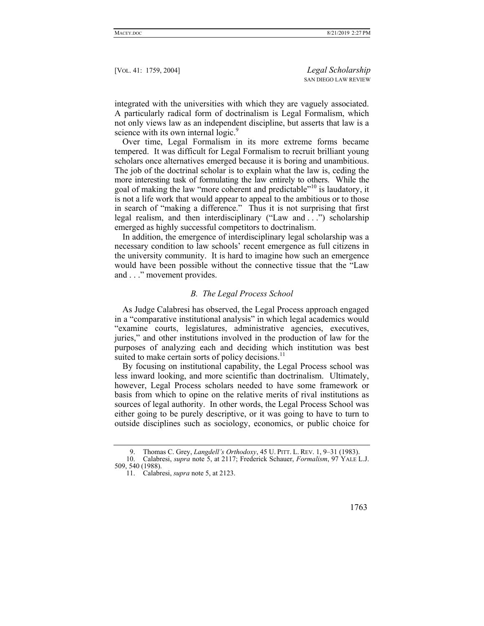integrated with the universities with which they are vaguely associated. A particularly radical form of doctrinalism is Legal Formalism, which not only views law as an independent discipline, but asserts that law is a science with its own internal logic.<sup>9</sup>

Over time, Legal Formalism in its more extreme forms became tempered. It was difficult for Legal Formalism to recruit brilliant young scholars once alternatives emerged because it is boring and unambitious. The job of the doctrinal scholar is to explain what the law is, ceding the more interesting task of formulating the law entirely to others. While the goal of making the law "more coherent and predictable"10 is laudatory, it is not a life work that would appear to appeal to the ambitious or to those in search of "making a difference." Thus it is not surprising that first legal realism, and then interdisciplinary ("Law and . . .") scholarship emerged as highly successful competitors to doctrinalism.

In addition, the emergence of interdisciplinary legal scholarship was a necessary condition to law schools' recent emergence as full citizens in the university community. It is hard to imagine how such an emergence would have been possible without the connective tissue that the "Law and . . ." movement provides.

#### *B. The Legal Process School*

As Judge Calabresi has observed, the Legal Process approach engaged in a "comparative institutional analysis" in which legal academics would "examine courts, legislatures, administrative agencies, executives, juries," and other institutions involved in the production of law for the purposes of analyzing each and deciding which institution was best suited to make certain sorts of policy decisions.<sup>11</sup>

By focusing on institutional capability, the Legal Process school was less inward looking, and more scientific than doctrinalism. Ultimately, however, Legal Process scholars needed to have some framework or basis from which to opine on the relative merits of rival institutions as sources of legal authority. In other words, the Legal Process School was either going to be purely descriptive, or it was going to have to turn to outside disciplines such as sociology, economics, or public choice for

 <sup>11.</sup> Calabresi, *supra* note 5, at 2123.



 <sup>9.</sup> Thomas C. Grey, *Langdell's Orthodoxy*, 45 U. PITT. L. REV. 1, 9–31 (1983). 10. Calabresi, *supra* note 5, at 2117; Frederick Schauer, *Formalism*, 97 YALE L.J. 509, 540 (1988).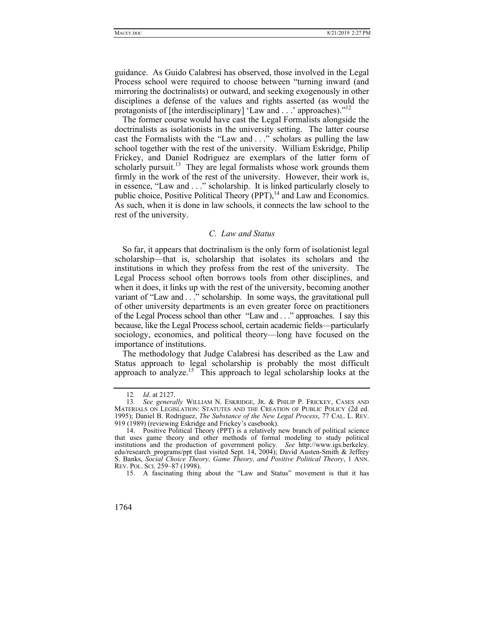guidance. As Guido Calabresi has observed, those involved in the Legal Process school were required to choose between "turning inward (and mirroring the doctrinalists) or outward, and seeking exogenously in other disciplines a defense of the values and rights asserted (as would the protagonists of [the interdisciplinary] 'Law and . . .' approaches)."12

The former course would have cast the Legal Formalists alongside the doctrinalists as isolationists in the university setting. The latter course cast the Formalists with the "Law and . . ." scholars as pulling the law school together with the rest of the university. William Eskridge, Philip Frickey, and Daniel Rodriguez are exemplars of the latter form of scholarly pursuit.<sup>13</sup> They are legal formalists whose work grounds them firmly in the work of the rest of the university. However, their work is, in essence, "Law and . . ." scholarship. It is linked particularly closely to public choice, Positive Political Theory  $(PT)$ ,<sup>14</sup> and Law and Economics. As such, when it is done in law schools, it connects the law school to the rest of the university.

# *C. Law and Status*

So far, it appears that doctrinalism is the only form of isolationist legal scholarship—that is, scholarship that isolates its scholars and the institutions in which they profess from the rest of the university. The Legal Process school often borrows tools from other disciplines, and when it does, it links up with the rest of the university, becoming another variant of "Law and . . ." scholarship. In some ways, the gravitational pull of other university departments is an even greater force on practitioners of the Legal Process school than other "Law and . . ." approaches. I say this because, like the Legal Process school, certain academic fields—particularly sociology, economics, and political theory—long have focused on the importance of institutions.

The methodology that Judge Calabresi has described as the Law and Status approach to legal scholarship is probably the most difficult approach to analyze.15 This approach to legal scholarship looks at the

<sup>12</sup>*. Id*. at 2127.

<sup>13</sup>*. See generally* WILLIAM N. ESKRIDGE, JR. & PHILIP P. FRICKEY, CASES AND MATERIALS ON LEGISLATION: STATUTES AND THE CREATION OF PUBLIC POLICY (2d ed. 1995); Daniel B. Rodriguez, *The Substance of the New Legal Process*, 77 CAL. L. REV. 919 (1989) (reviewing Eskridge and Frickey's casebook).

 <sup>14.</sup> Positive Political Theory (PPT) is a relatively new branch of political science that uses game theory and other methods of formal modeling to study political institutions and the production of government policy. *See* http://www.igs.berkeley. edu/research\_programs/ppt (last visited Sept. 14, 2004); David Austen-Smith & Jeffrey S. Banks, *Social Choice Theory, Game Theory, and Positive Political Theory*, 1 ANN. REV. POL. SCI. 259–87 (1998).

 <sup>15.</sup> A fascinating thing about the "Law and Status" movement is that it has

<sup>1764</sup>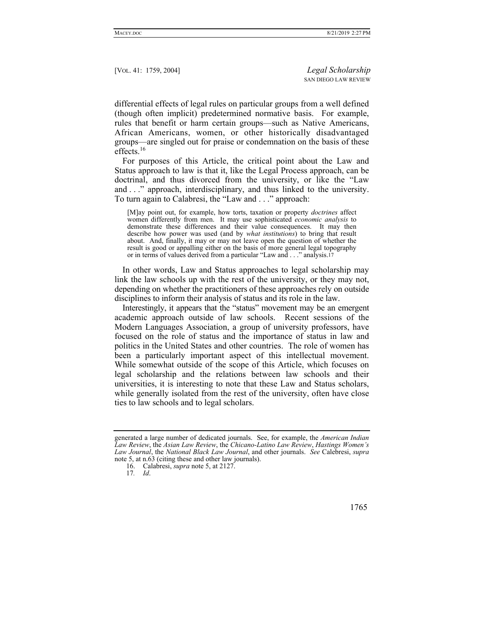differential effects of legal rules on particular groups from a well defined (though often implicit) predetermined normative basis. For example, rules that benefit or harm certain groups—such as Native Americans, African Americans, women, or other historically disadvantaged groups—are singled out for praise or condemnation on the basis of these effects.<sup>16</sup>

For purposes of this Article, the critical point about the Law and Status approach to law is that it, like the Legal Process approach, can be doctrinal, and thus divorced from the university, or like the "Law and . . ." approach, interdisciplinary, and thus linked to the university. To turn again to Calabresi, the "Law and . . ." approach:

[M]ay point out, for example, how torts, taxation or property *doctrines* affect women differently from men. It may use sophisticated *economic analysis* to demonstrate these differences and their value consequences. It may then describe how power was used (and by *what institutions*) to bring that result about. And, finally, it may or may not leave open the question of whether the result is good or appalling either on the basis of more general legal topography or in terms of values derived from a particular "Law and . . ." analysis.17

In other words, Law and Status approaches to legal scholarship may link the law schools up with the rest of the university, or they may not, depending on whether the practitioners of these approaches rely on outside disciplines to inform their analysis of status and its role in the law.

Interestingly, it appears that the "status" movement may be an emergent academic approach outside of law schools. Recent sessions of the Modern Languages Association, a group of university professors, have focused on the role of status and the importance of status in law and politics in the United States and other countries. The role of women has been a particularly important aspect of this intellectual movement. While somewhat outside of the scope of this Article, which focuses on legal scholarship and the relations between law schools and their universities, it is interesting to note that these Law and Status scholars, while generally isolated from the rest of the university, often have close ties to law schools and to legal scholars.

generated a large number of dedicated journals. See, for example, the *American Indian Law Review*, the *Asian Law Review*, the *Chicano-Latino Law Review*, *Hastings Women's Law Journal*, the *National Black Law Journal*, and other journals. *See* Calebresi, *supra* note 5, at n.63 (citing these and other law journals).

 <sup>16.</sup> Calabresi, *supra* note 5, at 2127.

<sup>17</sup>*. Id*.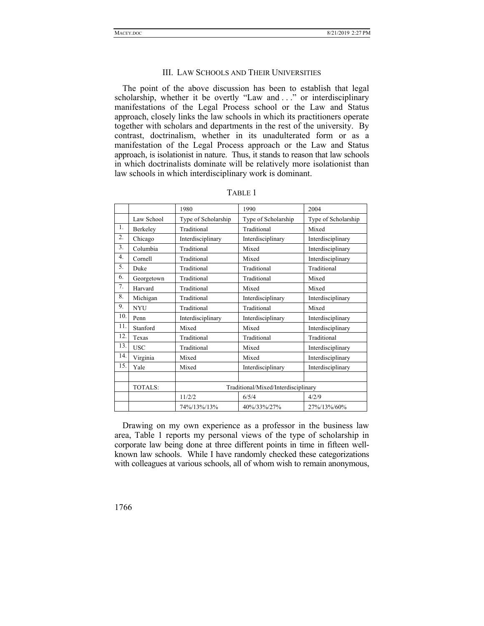#### III. LAW SCHOOLS AND THEIR UNIVERSITIES

The point of the above discussion has been to establish that legal scholarship, whether it be overtly "Law and . . ." or interdisciplinary manifestations of the Legal Process school or the Law and Status approach, closely links the law schools in which its practitioners operate together with scholars and departments in the rest of the university. By contrast, doctrinalism, whether in its unadulterated form or as a manifestation of the Legal Process approach or the Law and Status approach, is isolationist in nature. Thus, it stands to reason that law schools in which doctrinalists dominate will be relatively more isolationist than law schools in which interdisciplinary work is dominant.

|     |                | 1980<br>1990                        |                     | 2004                |  |
|-----|----------------|-------------------------------------|---------------------|---------------------|--|
|     | Law School     | Type of Scholarship                 | Type of Scholarship | Type of Scholarship |  |
| 1.  | Berkeley       | Traditional                         | Traditional         | Mixed               |  |
| 2.  | Chicago        | Interdisciplinary                   | Interdisciplinary   | Interdisciplinary   |  |
| 3.  | Columbia       | Traditional                         | Mixed               | Interdisciplinary   |  |
| 4.  | Cornell        | Traditional                         | Mixed               | Interdisciplinary   |  |
| 5.  | Duke           | Traditional                         | Traditional         | Traditional         |  |
| 6.  | Georgetown     | Traditional                         | Traditional         | Mixed               |  |
| 7.  | Harvard        | Traditional                         | Mixed               | Mixed               |  |
| 8.  | Michigan       | Traditional                         | Interdisciplinary   | Interdisciplinary   |  |
| 9.  | <b>NYU</b>     | Traditional                         | Traditional         | Mixed               |  |
| 10. | Penn           | Interdisciplinary                   | Interdisciplinary   | Interdisciplinary   |  |
| 11. | Stanford       | Mixed                               | Mixed               | Interdisciplinary   |  |
| 12. | Texas          | Traditional                         | Traditional         | Traditional         |  |
| 13. | <b>USC</b>     | Traditional                         | Mixed               | Interdisciplinary   |  |
| 14. | Virginia       | Mixed                               | Mixed               | Interdisciplinary   |  |
| 15. | Yale           | Mixed                               | Interdisciplinary   | Interdisciplinary   |  |
|     |                |                                     |                     |                     |  |
|     | <b>TOTALS:</b> | Traditional/Mixed/Interdisciplinary |                     |                     |  |
|     |                | 11/2/2                              | 6/5/4               | 4/2/9               |  |
|     |                | 74%/13%/13%                         | 40%/33%/27%         | 27%/13%/60%         |  |

|--|

Drawing on my own experience as a professor in the business law area, Table 1 reports my personal views of the type of scholarship in corporate law being done at three different points in time in fifteen wellknown law schools. While I have randomly checked these categorizations with colleagues at various schools, all of whom wish to remain anonymous,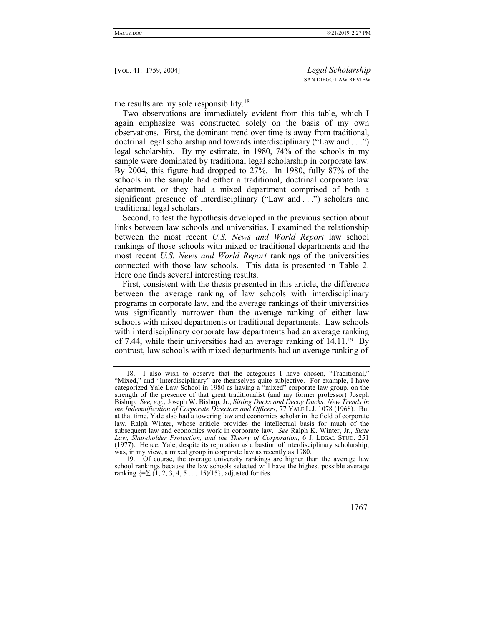the results are my sole responsibility. $18$ 

Two observations are immediately evident from this table, which I again emphasize was constructed solely on the basis of my own observations. First, the dominant trend over time is away from traditional, doctrinal legal scholarship and towards interdisciplinary ("Law and . . .") legal scholarship. By my estimate, in 1980, 74% of the schools in my sample were dominated by traditional legal scholarship in corporate law. By 2004, this figure had dropped to 27%. In 1980, fully 87% of the schools in the sample had either a traditional, doctrinal corporate law department, or they had a mixed department comprised of both a significant presence of interdisciplinary ("Law and . . .") scholars and traditional legal scholars.

Second, to test the hypothesis developed in the previous section about links between law schools and universities, I examined the relationship between the most recent *U.S. News and World Report* law school rankings of those schools with mixed or traditional departments and the most recent *U.S. News and World Report* rankings of the universities connected with those law schools. This data is presented in Table 2. Here one finds several interesting results.

First, consistent with the thesis presented in this article, the difference between the average ranking of law schools with interdisciplinary programs in corporate law, and the average rankings of their universities was significantly narrower than the average ranking of either law schools with mixed departments or traditional departments. Law schools with interdisciplinary corporate law departments had an average ranking of 7.44, while their universities had an average ranking of 14.11.19 By contrast, law schools with mixed departments had an average ranking of

 <sup>19.</sup> Of course, the average university rankings are higher than the average law school rankings because the law schools selected will have the highest possible average ranking  $\{=\sum (1, 2, 3, 4, 5 \ldots 15)/15\}$ , adjusted for ties.



 <sup>18.</sup> I also wish to observe that the categories I have chosen, "Traditional," "Mixed," and "Interdisciplinary" are themselves quite subjective. For example, I have categorized Yale Law School in 1980 as having a "mixed" corporate law group, on the strength of the presence of that great traditionalist (and my former professor) Joseph Bishop. *See, e.g.*, Joseph W. Bishop, Jr., *Sitting Ducks and Decoy Ducks: New Trends in the Indemnification of Corporate Directors and Officers*, 77 YALE L.J. 1078 (1968). But at that time, Yale also had a towering law and economics scholar in the field of corporate law, Ralph Winter, whose ariticle provides the intellectual basis for much of the subsequent law and economics work in corporate law. *See* Ralph K. Winter, Jr., *State Law, Shareholder Protection, and the Theory of Corporation*, 6 J. LEGAL STUD. 251 (1977). Hence, Yale, despite its reputation as a bastion of interdisciplinary scholarship, was, in my view, a mixed group in corporate law as recently as 1980.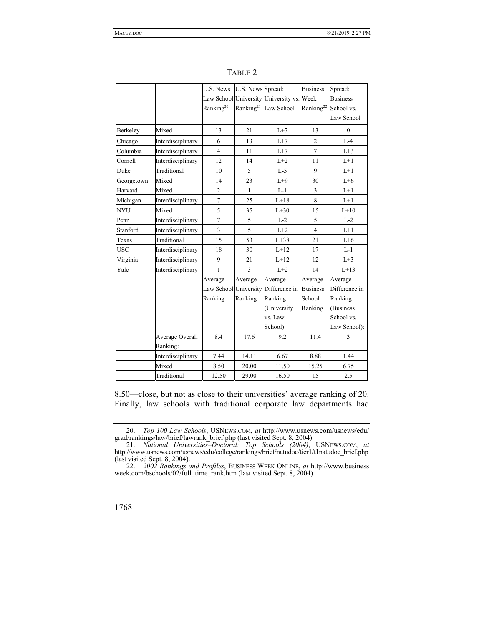|            |                   | U.S. News             | U.S. News Spread:     |                                           | <b>Business</b>                  | Spread:         |
|------------|-------------------|-----------------------|-----------------------|-------------------------------------------|----------------------------------|-----------------|
|            |                   |                       |                       | Law School University University vs. Week |                                  | <b>Business</b> |
|            |                   | Ranking <sup>20</sup> | Ranking <sup>21</sup> | Law School                                | Ranking <sup>22</sup> School vs. |                 |
|            |                   |                       |                       |                                           |                                  | Law School      |
| Berkeley   | Mixed             | 13                    | 21                    | $L+7$                                     | 13                               | $\mathbf{0}$    |
| Chicago    | Interdisciplinary | 6                     | 13                    | $L+7$                                     | $\overline{2}$                   | $L-4$           |
| Columbia   | Interdisciplinary | $\overline{4}$        | 11                    | $L+7$                                     | $\overline{7}$                   | $L+3$           |
| Cornell    | Interdisciplinary | 12                    | 14                    | $L+2$                                     | 11                               | $L+1$           |
| Duke       | Traditional       | 10                    | 5                     | $L-5$                                     | 9                                | $L+1$           |
| Georgetown | Mixed             | 14                    | 23                    | $L+9$                                     | 30                               | $L+6$           |
| Harvard    | Mixed             | $\overline{2}$        | $\mathbf{1}$          | $L-1$                                     | $\overline{3}$                   | $L+1$           |
| Michigan   | Interdisciplinary | $\overline{7}$        | 25                    | $L+18$                                    | 8                                | $L+1$           |
| <b>NYU</b> | Mixed             | 5                     | 35                    | $L+30$                                    | 15                               | $L+10$          |
| Penn       | Interdisciplinary | $\boldsymbol{7}$      | 5                     | $L-2$                                     | 5                                | $L-2$           |
| Stanford   | Interdisciplinary | 3                     | 5                     | $L+2$                                     | $\overline{4}$                   | $L+1$           |
| Texas      | Traditional       | 15                    | 53                    | $L+38$                                    | 21                               | $L+6$           |
| <b>USC</b> | Interdisciplinary | 18                    | 30                    | $L+12$                                    | 17                               | $L-1$           |
| Virginia   | Interdisciplinary | 9                     | 21                    | $L+12$                                    | 12                               | $L+3$           |
| Yale       | Interdisciplinary | 1                     | $\overline{3}$        | $L+2$                                     | 14                               | $L+13$          |
|            |                   | Average               | Average               | Average                                   | Average                          | Average         |
|            |                   | Law School University |                       | Difference in                             | <b>Business</b>                  | Difference in   |
|            |                   | Ranking               | Ranking               | Ranking                                   | School                           | Ranking         |
|            |                   |                       |                       | (University                               | Ranking                          | (Business)      |
|            |                   |                       |                       | vs. Law                                   |                                  | School vs.      |
|            |                   |                       |                       | School):                                  |                                  | Law School):    |
|            | Average Overall   | 8.4                   | 17.6                  | 9.2                                       | 11.4                             | 3               |
|            | Ranking:          |                       |                       |                                           |                                  |                 |
|            | Interdisciplinary | 7.44                  | 14.11                 | 6.67                                      | 8.88                             | 1.44            |
|            | Mixed             | 8.50                  | 20.00                 | 11.50                                     | 15.25                            | 6.75            |
|            | Traditional       | 12.50                 | 29.00                 | 16.50                                     | 15                               | 2.5             |

TABLE 2

8.50—close, but not as close to their universities' average ranking of 20. Finally, law schools with traditional corporate law departments had

 <sup>22.</sup> *2002 Rankings and Profiles*, BUSINESS WEEK ONLINE, *at* http://www.business week.com/bschools/02/full\_time\_rank.htm (last visited Sept. 8, 2004).



 <sup>20.</sup> *Top 100 Law Schools*, USNEWS.COM, *at* http://www.usnews.com/usnews/edu/ grad/rankings/law/brief/lawrank\_brief.php (last visited Sept. 8, 2004).

 <sup>21.</sup> *National Universities–Doctoral: Top Schools (2004)*, USNEWS.COM, *at* http://www.usnews.com/usnews/edu/college/rankings/brief/natudoc/tier1/t1natudoc\_brief.php (last visited Sept. 8, 2004).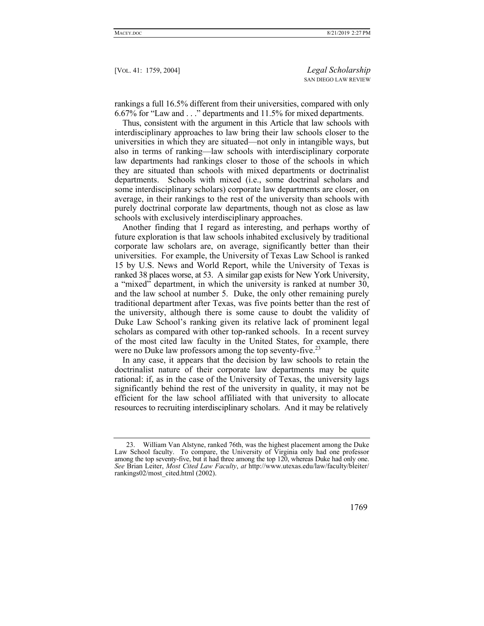rankings a full 16.5% different from their universities, compared with only 6.67% for "Law and . . ." departments and 11.5% for mixed departments.

Thus, consistent with the argument in this Article that law schools with interdisciplinary approaches to law bring their law schools closer to the universities in which they are situated—not only in intangible ways, but also in terms of ranking—law schools with interdisciplinary corporate law departments had rankings closer to those of the schools in which they are situated than schools with mixed departments or doctrinalist departments. Schools with mixed (i.e., some doctrinal scholars and some interdisciplinary scholars) corporate law departments are closer, on average, in their rankings to the rest of the university than schools with purely doctrinal corporate law departments, though not as close as law schools with exclusively interdisciplinary approaches.

Another finding that I regard as interesting, and perhaps worthy of future exploration is that law schools inhabited exclusively by traditional corporate law scholars are, on average, significantly better than their universities. For example, the University of Texas Law School is ranked 15 by U.S. News and World Report, while the University of Texas is ranked 38 places worse, at 53. A similar gap exists for New York University, a "mixed" department, in which the university is ranked at number 30, and the law school at number 5. Duke, the only other remaining purely traditional department after Texas, was five points better than the rest of the university, although there is some cause to doubt the validity of Duke Law School's ranking given its relative lack of prominent legal scholars as compared with other top-ranked schools. In a recent survey of the most cited law faculty in the United States, for example, there were no Duke law professors among the top seventy-five.<sup>23</sup>

In any case, it appears that the decision by law schools to retain the doctrinalist nature of their corporate law departments may be quite rational: if, as in the case of the University of Texas, the university lags significantly behind the rest of the university in quality, it may not be efficient for the law school affiliated with that university to allocate resources to recruiting interdisciplinary scholars. And it may be relatively

 <sup>23.</sup> William Van Alstyne, ranked 76th, was the highest placement among the Duke Law School faculty. To compare, the University of Virginia only had one professor among the top seventy-five, but it had three among the top 120, whereas Duke had only one. *See* Brian Leiter, *Most Cited Law Faculty*, *at* http://www.utexas.edu/law/faculty/bleiter/ rankings02/most\_cited.html (2002).

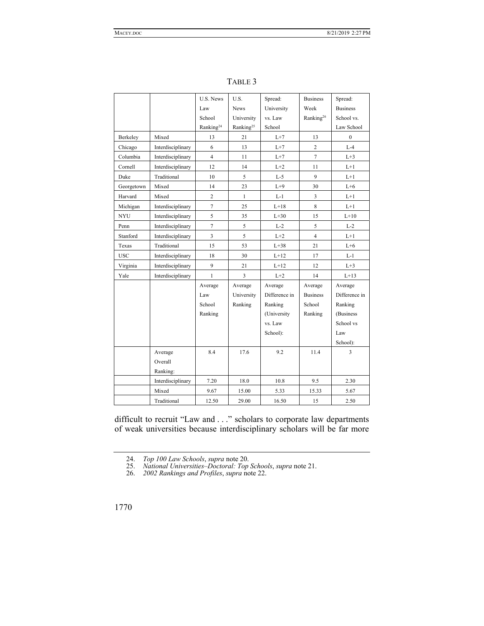|            |                   | U.S. News             | U.S.                    | Spread:       | <b>Business</b>       | Spread:         |
|------------|-------------------|-----------------------|-------------------------|---------------|-----------------------|-----------------|
|            |                   | Law                   | <b>News</b>             | University    | Week                  | <b>Business</b> |
|            |                   | School                | University              | vs. Law       | Ranking <sup>26</sup> | School vs.      |
|            |                   | Ranking <sup>24</sup> | Ranking <sup>25</sup>   | School        |                       | Law School      |
| Berkeley   | Mixed             | 13                    | 21                      | $L+7$         | 13                    | $\Omega$        |
| Chicago    | Interdisciplinary | 6                     | 13                      | $L+7$         | $\overline{c}$        | $L-4$           |
| Columbia   | Interdisciplinary | $\overline{4}$        | 11                      | $L+7$         | $\overline{7}$        | $L+3$           |
| Cornell    | Interdisciplinary | 12                    | 14                      | $L+2$         | 11                    | $L+1$           |
| Duke       | Traditional       | 10                    | 5                       | $L-5$         | 9                     | $L+1$           |
| Georgetown | Mixed             | 14                    | 23                      | $L+9$         | 30                    | $L+6$           |
| Harvard    | Mixed             | $\overline{2}$        | $\mathbf{1}$            | $L-1$         | 3                     | $L+1$           |
| Michigan   | Interdisciplinary | $\tau$                | 25                      | $L+18$        | 8                     | $L+1$           |
| <b>NYU</b> | Interdisciplinary | 5                     | 35                      | $L+30$        | 15                    | $L+10$          |
| Penn       | Interdisciplinary | $\overline{7}$        | 5                       | $L-2$         | 5                     | $L-2$           |
| Stanford   | Interdisciplinary | $\overline{3}$        | 5                       | $L+2$         | $\overline{4}$        | $L+1$           |
| Texas      | Traditional       | 15                    | 53                      | $L+38$        | 21                    | $L+6$           |
| <b>USC</b> | Interdisciplinary | 18                    | 30                      | $L+12$        | 17                    | $L-1$           |
| Virginia   | Interdisciplinary | 9                     | 21                      | $L+12$        | 12                    | $L+3$           |
| Yale       | Interdisciplinary | $\mathbf{1}$          | $\overline{\mathbf{3}}$ | $L+2$         | 14                    | $L+13$          |
|            |                   | Average               | Average                 | Average       | Average               | Average         |
|            |                   | Law                   | University              | Difference in | <b>Business</b>       | Difference in   |
|            |                   | School                | Ranking                 | Ranking       | School                | Ranking         |
|            |                   | Ranking               |                         | (University   | Ranking               | (Business)      |
|            |                   |                       |                         | vs. Law       |                       | School vs       |
|            |                   |                       |                         | School):      |                       | Law             |
|            |                   |                       |                         |               |                       | School):        |
|            | Average           | 8.4                   | 17.6                    | 9.2           | 11.4                  | 3               |
|            | Overall           |                       |                         |               |                       |                 |
|            | Ranking:          |                       |                         |               |                       |                 |
|            | Interdisciplinary | 7.20                  | 18.0                    | 10.8          | 9.5                   | 2.30            |
|            | Mixed             | 9.67                  | 15.00                   | 5.33          | 15.33                 | 5.67            |
|            | Traditional       | 12.50                 | 29.00                   | 16.50         | 15                    | 2.50            |

TABLE 3

difficult to recruit "Law and . . ." scholars to corporate law departments of weak universities because interdisciplinary scholars will be far more

 <sup>24.</sup> *Top 100 Law Schools*, *supra* note 20.

 <sup>25.</sup> *National Universities–Doctoral: Top Schools*, *supra* note 21.

 <sup>26.</sup> *2002 Rankings and Profiles*, *supra* note 22.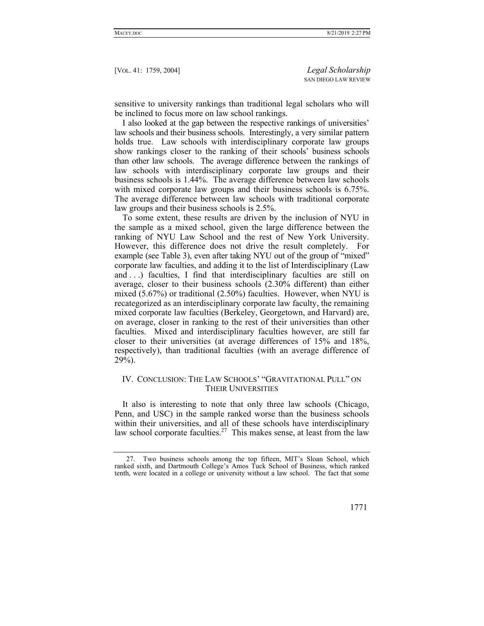sensitive to university rankings than traditional legal scholars who will be inclined to focus more on law school rankings.

I also looked at the gap between the respective rankings of universities' law schools and their business schools. Interestingly, a very similar pattern holds true. Law schools with interdisciplinary corporate law groups show rankings closer to the ranking of their schools' business schools than other law schools. The average difference between the rankings of law schools with interdisciplinary corporate law groups and their business schools is 1.44%. The average difference between law schools with mixed corporate law groups and their business schools is 6.75%. The average difference between law schools with traditional corporate law groups and their business schools is 2.5%.

To some extent, these results are driven by the inclusion of NYU in the sample as a mixed school, given the large difference between the ranking of NYU Law School and the rest of New York University. However, this difference does not drive the result completely. For example (see Table 3), even after taking NYU out of the group of "mixed" corporate law faculties, and adding it to the list of Interdisciplinary (Law and . . .) faculties, I find that interdisciplinary faculties are still on average, closer to their business schools (2.30% different) than either mixed (5.67%) or traditional (2.50%) faculties. However, when NYU is recategorized as an interdisciplinary corporate law faculty, the remaining mixed corporate law faculties (Berkeley, Georgetown, and Harvard) are, on average, closer in ranking to the rest of their universities than other faculties. Mixed and interdisciplinary faculties however, are still far closer to their universities (at average differences of 15% and 18%, respectively), than traditional faculties (with an average difference of 29%).

## IV. CONCLUSION: THE LAW SCHOOLS' "GRAVITATIONAL PULL" ON THEIR UNIVERSITIES

It also is interesting to note that only three law schools (Chicago, Penn, and USC) in the sample ranked worse than the business schools within their universities, and all of these schools have interdisciplinary law school corporate faculties.<sup>27</sup> This makes sense, at least from the law

 <sup>27.</sup> Two business schools among the top fifteen, MIT's Sloan School, which ranked sixth, and Dartmouth College's Amos Tuck School of Business, which ranked tenth, were located in a college or university without a law school. The fact that some

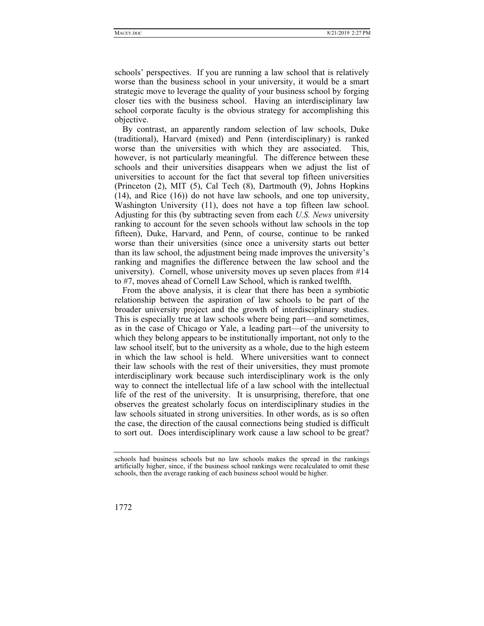schools' perspectives. If you are running a law school that is relatively worse than the business school in your university, it would be a smart strategic move to leverage the quality of your business school by forging closer ties with the business school. Having an interdisciplinary law school corporate faculty is the obvious strategy for accomplishing this objective.

By contrast, an apparently random selection of law schools, Duke (traditional), Harvard (mixed) and Penn (interdisciplinary) is ranked worse than the universities with which they are associated. This, however, is not particularly meaningful. The difference between these schools and their universities disappears when we adjust the list of universities to account for the fact that several top fifteen universities (Princeton (2), MIT (5), Cal Tech (8), Dartmouth (9), Johns Hopkins (14), and Rice (16)) do not have law schools, and one top university, Washington University (11), does not have a top fifteen law school. Adjusting for this (by subtracting seven from each *U.S. News* university ranking to account for the seven schools without law schools in the top fifteen), Duke, Harvard, and Penn, of course, continue to be ranked worse than their universities (since once a university starts out better than its law school, the adjustment being made improves the university's ranking and magnifies the difference between the law school and the university). Cornell, whose university moves up seven places from #14 to #7, moves ahead of Cornell Law School, which is ranked twelfth.

From the above analysis, it is clear that there has been a symbiotic relationship between the aspiration of law schools to be part of the broader university project and the growth of interdisciplinary studies. This is especially true at law schools where being part—and sometimes, as in the case of Chicago or Yale, a leading part—of the university to which they belong appears to be institutionally important, not only to the law school itself, but to the university as a whole, due to the high esteem in which the law school is held. Where universities want to connect their law schools with the rest of their universities, they must promote interdisciplinary work because such interdisciplinary work is the only way to connect the intellectual life of a law school with the intellectual life of the rest of the university. It is unsurprising, therefore, that one observes the greatest scholarly focus on interdisciplinary studies in the law schools situated in strong universities. In other words, as is so often the case, the direction of the causal connections being studied is difficult to sort out. Does interdisciplinary work cause a law school to be great?

schools had business schools but no law schools makes the spread in the rankings artificially higher, since, if the business school rankings were recalculated to omit these schools, then the average ranking of each business school would be higher.

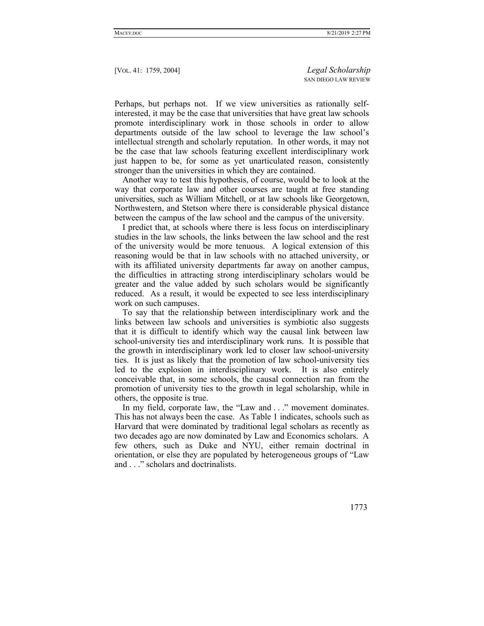Perhaps, but perhaps not. If we view universities as rationally selfinterested, it may be the case that universities that have great law schools promote interdisciplinary work in those schools in order to allow departments outside of the law school to leverage the law school's intellectual strength and scholarly reputation. In other words, it may not be the case that law schools featuring excellent interdisciplinary work just happen to be, for some as yet unarticulated reason, consistently stronger than the universities in which they are contained.

Another way to test this hypothesis, of course, would be to look at the way that corporate law and other courses are taught at free standing universities, such as William Mitchell, or at law schools like Georgetown, Northwestern, and Stetson where there is considerable physical distance between the campus of the law school and the campus of the university.

I predict that, at schools where there is less focus on interdisciplinary studies in the law schools, the links between the law school and the rest of the university would be more tenuous. A logical extension of this reasoning would be that in law schools with no attached university, or with its affiliated university departments far away on another campus, the difficulties in attracting strong interdisciplinary scholars would be greater and the value added by such scholars would be significantly reduced. As a result, it would be expected to see less interdisciplinary work on such campuses.

To say that the relationship between interdisciplinary work and the links between law schools and universities is symbiotic also suggests that it is difficult to identify which way the causal link between law school-university ties and interdisciplinary work runs. It is possible that the growth in interdisciplinary work led to closer law school-university ties. It is just as likely that the promotion of law school-university ties led to the explosion in interdisciplinary work. It is also entirely conceivable that, in some schools, the causal connection ran from the promotion of university ties to the growth in legal scholarship, while in others, the opposite is true.

In my field, corporate law, the "Law and . . ." movement dominates. This has not always been the case. As Table 1 indicates, schools such as Harvard that were dominated by traditional legal scholars as recently as two decades ago are now dominated by Law and Economics scholars. A few others, such as Duke and NYU, either remain doctrinal in orientation, or else they are populated by heterogeneous groups of "Law and . . ." scholars and doctrinalists.